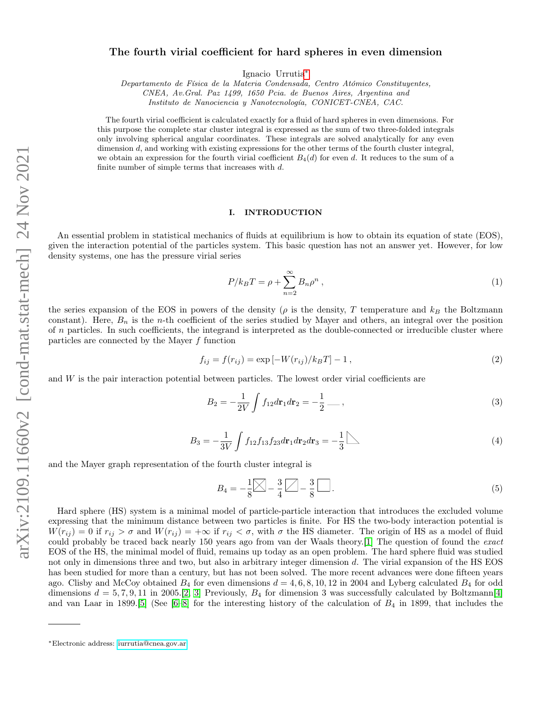# The fourth virial coefficient for hard spheres in even dimension

Ignacio Urrutia[∗](#page-0-0)

Departamento de Física de la Materia Condensada, Centro Atómico Constituyentes, CNEA, Av.Gral. Paz 1499, 1650 Pcia. de Buenos Aires, Argentina and

Instituto de Nanociencia y Nanotecnología, CONICET-CNEA, CAC.

The fourth virial coefficient is calculated exactly for a fluid of hard spheres in even dimensions. For this purpose the complete star cluster integral is expressed as the sum of two three-folded integrals only involving spherical angular coordinates. These integrals are solved analytically for any even dimension d, and working with existing expressions for the other terms of the fourth cluster integral, we obtain an expression for the fourth virial coefficient  $B_4(d)$  for even d. It reduces to the sum of a finite number of simple terms that increases with  $d$ .

#### I. INTRODUCTION

An essential problem in statistical mechanics of fluids at equilibrium is how to obtain its equation of state (EOS), given the interaction potential of the particles system. This basic question has not an answer yet. However, for low density systems, one has the pressure virial series

$$
P/k_B T = \rho + \sum_{n=2}^{\infty} B_n \rho^n , \qquad (1)
$$

the series expansion of the EOS in powers of the density ( $\rho$  is the density, T temperature and  $k_B$  the Boltzmann constant). Here,  $B_n$  is the *n*-th coefficient of the series studied by Mayer and others, an integral over the position of  $n$  particles. In such coefficients, the integrand is interpreted as the double-connected or irreducible cluster where particles are connected by the Mayer f function

$$
f_{ij} = f(r_{ij}) = \exp[-W(r_{ij})/k_B T] - 1,
$$
\n(2)

and  $W$  is the pair interaction potential between particles. The lowest order virial coefficients are

$$
B_2 = -\frac{1}{2V} \int f_{12} dr_1 dr_2 = -\frac{1}{2} \dots \qquad (3)
$$

$$
B_3 = -\frac{1}{3V} \int f_{12} f_{13} f_{23} d\mathbf{r}_1 d\mathbf{r}_2 d\mathbf{r}_3 = -\frac{1}{3} \sum \tag{4}
$$

and the Mayer graph representation of the fourth cluster integral is

<span id="page-0-1"></span>
$$
B_4 = -\frac{1}{8} \boxed{\bigtimes} - \frac{3}{4} \boxed{\bigtimes} - \frac{3}{8} \boxed{\dots} . \tag{5}
$$

Hard sphere (HS) system is a minimal model of particle-particle interaction that introduces the excluded volume expressing that the minimum distance between two particles is finite. For HS the two-body interaction potential is  $W(r_{ij}) = 0$  if  $r_{ij} > \sigma$  and  $W(r_{ij}) = +\infty$  if  $r_{ij} < \sigma$ , with  $\sigma$  the HS diameter. The origin of HS as a model of fluid could probably be traced back nearly 150 years ago from van der Waals theory.[\[1\]](#page-14-0) The question of found the exact EOS of the HS, the minimal model of fluid, remains up today as an open problem. The hard sphere fluid was studied not only in dimensions three and two, but also in arbitrary integer dimension d. The virial expansion of the HS EOS has been studied for more than a century, but has not been solved. The more recent advances were done fifteen years ago. Clisby and McCoy obtained  $B_4$  for even dimensions  $d = 4, 6, 8, 10, 12$  in 2004 and Lyberg calculated  $B_4$  for odd dimensions  $d = 5, 7, 9, 11$  in 2005.[\[2,](#page-14-1) [3\]](#page-14-2) Previously,  $B_4$  for dimension 3 was successfully calculated by Boltzmann[\[4\]](#page-14-3) and van Laar in 1899.[\[5\]](#page-14-4) (See  $[6-8]$  $[6-8]$  for the interesting history of the calculation of  $B_4$  in 1899, that includes the

<span id="page-0-0"></span><sup>∗</sup>Electronic address: [iurrutia@cnea.gov.ar](mailto:iurrutia@cnea.gov.ar)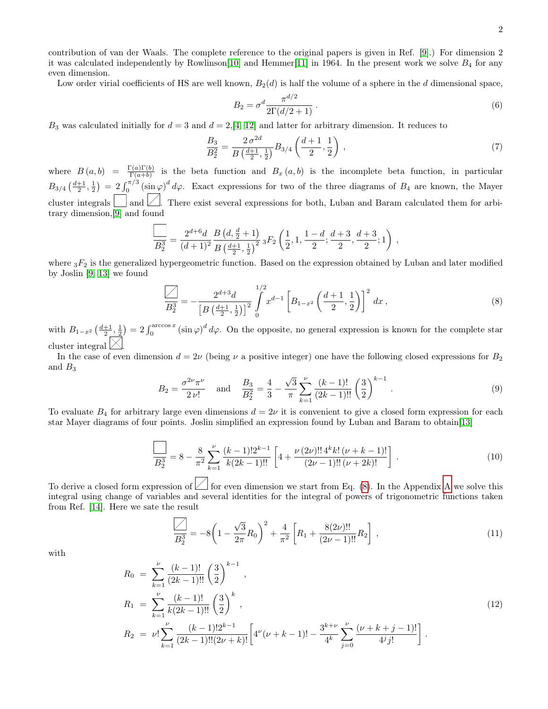2

contribution of van der Waals. The complete reference to the original papers is given in Ref. [\[9\]](#page-14-7).) For dimension 2 it was calculated independently by Rowlinson[\[10\]](#page-14-8) and Hemmer[\[11\]](#page-14-9) in 1964. In the present work we solve  $B_4$  for any even dimension.

Low order virial coefficients of HS are well known,  $B_2(d)$  is half the volume of a sphere in the d dimensional space,

$$
B_2 = \sigma^d \frac{\pi^{d/2}}{2\Gamma(d/2+1)}.
$$
\n(6)

 $B_3$  was calculated initially for  $d = 3$  and  $d = 2$ , [\[4,](#page-14-3) [12\]](#page-14-10) and latter for arbitrary dimension. It reduces to

$$
\frac{B_3}{B_2^2} = \frac{2\,\sigma^{2d}}{B\left(\frac{d+1}{2},\frac{1}{2}\right)} B_{3/4} \left(\frac{d+1}{2},\frac{1}{2}\right) \,,\tag{7}
$$

where  $B(a,b) = \frac{\Gamma(a)\Gamma(b)}{\Gamma(a+b)}$  is the beta function and  $B_x(a,b)$  is the incomplete beta function, in particular  $B_{3/4}(\frac{d+1}{2},\frac{1}{2}) = 2\int_0^{\pi/3} (\sin\varphi)^d d\varphi$ . Exact expressions for two of the three diagrams of  $B_4$  are known, the Mayer cluster integrals  $\Box$  and  $\Box$ . There exist several expressions for both, Luban and Baram calculated them for arbitrary dimension,[\[9\]](#page-14-7) and found

$$
\frac{1}{B_2^3} = \frac{2^{d+6}d}{(d+1)^2} \frac{B\left(d, \frac{d}{2}+1\right)}{B\left(\frac{d+1}{2}, \frac{1}{2}\right)^2} {}_3F_2\left(\frac{1}{2}, 1, \frac{1-d}{2}; \frac{d+3}{2}, \frac{d+3}{2}; 1\right) ,
$$

where  ${}_{3}F_{2}$  is the generalized hypergeometric function. Based on the expression obtained by Luban and later modified by Joslin [\[9,](#page-14-7) [13\]](#page-14-11) we found

<span id="page-1-0"></span>
$$
\frac{\sqrt{3}}{B_2^3} = -\frac{2^{d+3}d}{\left[B\left(\frac{d+1}{2},\frac{1}{2}\right)\right]^2} \int_0^{1/2} x^{d-1} \left[B_{1-x^2}\left(\frac{d+1}{2},\frac{1}{2}\right)\right]^2 dx ,\qquad (8)
$$

with  $B_{1-x^2}\left(\frac{d+1}{2},\frac{1}{2}\right) = 2\int_0^{\arccos x} (\sin \varphi)^d d\varphi$ . On the opposite, no general expression is known for the complete star cluster integral  $\boxtimes$ .

In the case of even dimension  $d = 2\nu$  (being  $\nu$  a positive integer) one have the following closed expressions for  $B_2$ and  $B_3$ 

<span id="page-1-4"></span>
$$
B_2 = \frac{\sigma^{2\nu}\pi^{\nu}}{2\,\nu!} \quad \text{and} \quad \frac{B_3}{B_2^2} = \frac{4}{3} - \frac{\sqrt{3}}{\pi} \sum_{k=1}^{\nu} \frac{(k-1)!}{(2k-1)!!} \left(\frac{3}{2}\right)^{k-1} . \tag{9}
$$

To evaluate  $B_4$  for arbitrary large even dimensions  $d = 2\nu$  it is convenient to give a closed form expression for each star Mayer diagrams of four points. Joslin simplified an expression found by Luban and Baram to obtain[\[13\]](#page-14-11)

<span id="page-1-2"></span>
$$
\frac{1}{B_2^3} = 8 - \frac{8}{\pi^2} \sum_{k=1}^{\nu} \frac{(k-1)! 2^{k-1}}{k(2k-1)!!} \left[ 4 + \frac{\nu (2\nu)!! 4^k k! (\nu + k - 1)!}{(2\nu - 1)!! (\nu + 2k)!} \right].
$$
\n(10)

To derive a closed form expression of  $\angle$  for even dimension we start from Eq. [\(8\)](#page-1-0). In the [A](#page-11-0)ppendix A we solve this integral using change of variables and several identities for the integral of powers of trigonometric functions taken from Ref. [\[14\]](#page-14-12). Here we sate the result

<span id="page-1-1"></span>
$$
\frac{\sqrt{3}}{B_2^3} = -8\left(1 - \frac{\sqrt{3}}{2\pi}R_0\right)^2 + \frac{4}{\pi^2}\left[R_1 + \frac{8(2\nu)!!}{(2\nu - 1)!!}R_2\right],\tag{11}
$$

with

<span id="page-1-3"></span>
$$
R_0 = \sum_{k=1}^{\nu} \frac{(k-1)!}{(2k-1)!!} \left(\frac{3}{2}\right)^{k-1},
$$
  
\n
$$
R_1 = \sum_{k=1}^{\nu} \frac{(k-1)!}{k(2k-1)!!} \left(\frac{3}{2}\right)^k,
$$
  
\n
$$
R_2 = \nu! \sum_{k=1}^{\nu} \frac{(k-1)! 2^{k-1}}{(2k-1)!!(2\nu+k)!} \left[4^{\nu}(\nu+k-1)! - \frac{3^{k+\nu}}{4^k} \sum_{j=0}^{\nu} \frac{(\nu+k+j-1)!}{4^j j!} \right].
$$
\n(12)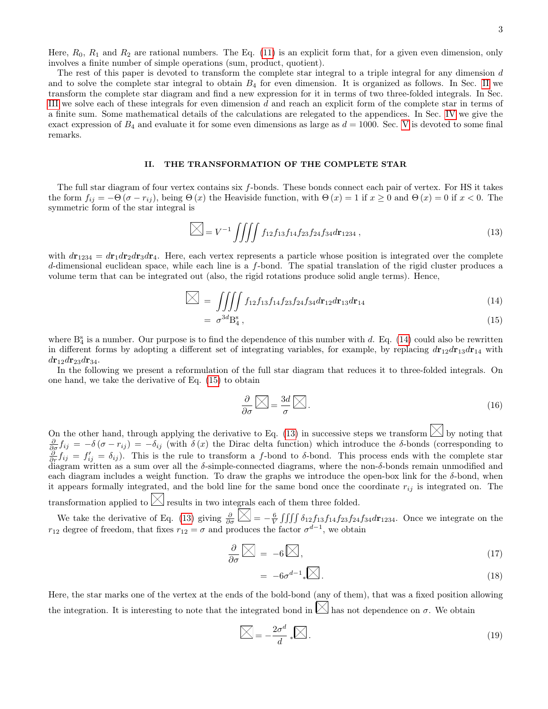Here,  $R_0$ ,  $R_1$  and  $R_2$  are rational numbers. The Eq. [\(11\)](#page-1-1) is an explicit form that, for a given even dimension, only involves a finite number of simple operations (sum, product, quotient).

The rest of this paper is devoted to transform the complete star integral to a triple integral for any dimension  $d$ and to solve the complete star integral to obtain  $B_4$  for even dimension. It is organized as follows. In Sec. [II](#page-2-0) we transform the complete star diagram and find a new expression for it in terms of two three-folded integrals. In Sec. [III](#page-3-0) we solve each of these integrals for even dimension d and reach an explicit form of the complete star in terms of a finite sum. Some mathematical details of the calculations are relegated to the appendices. In Sec. [IV](#page-7-0) we give the exact expression of  $B_4$  and evaluate it for some even dimensions as large as  $d = 1000$ . Sec. [V](#page-10-0) is devoted to some final remarks.

#### <span id="page-2-0"></span>II. THE TRANSFORMATION OF THE COMPLETE STAR

The full star diagram of four vertex contains six f-bonds. These bonds connect each pair of vertex. For HS it takes the form  $f_{ij} = -\Theta(\sigma - r_{ij})$ , being  $\Theta(x)$  the Heaviside function, with  $\Theta(x) = 1$  if  $x \ge 0$  and  $\Theta(x) = 0$  if  $x < 0$ . The symmetric form of the star integral is

<span id="page-2-2"></span>
$$
\boxed{\sum} = V^{-1} \iiint f_{12} f_{13} f_{14} f_{23} f_{24} f_{34} d\mathbf{r}_{1234} , \qquad (13)
$$

with  $d{\bf r}_{1234} = d{\bf r}_1 d{\bf r}_2 d{\bf r}_3 d{\bf r}_4$ . Here, each vertex represents a particle whose position is integrated over the complete d-dimensional euclidean space, while each line is a f-bond. The spatial translation of the rigid cluster produces a volume term that can be integrated out (also, the rigid rotations produce solid angle terms). Hence,

<span id="page-2-1"></span>
$$
\sum = \iiint f_{12} f_{13} f_{14} f_{23} f_{24} f_{34} d\mathbf{r}_{12} d\mathbf{r}_{13} d\mathbf{r}_{14}
$$
(14)

$$
= \sigma^{3d} \mathcal{B}_4^s \,, \tag{15}
$$

where  $B_4^s$  is a number. Our purpose is to find the dependence of this number with d. Eq. [\(14\)](#page-2-1) could also be rewritten in different forms by adopting a different set of integrating variables, for example, by replacing  $dr_{12}dr_{13}dr_{14}$  with  $d{\bf r}_{12}d{\bf r}_{23}d{\bf r}_{34}.$ 

In the following we present a reformulation of the full star diagram that reduces it to three-folded integrals. On one hand, we take the derivative of Eq. [\(15\)](#page-2-1) to obtain

$$
\frac{\partial}{\partial \sigma} \widehat{\triangleright\!\!\!\triangleleft} = \frac{3d}{\sigma} \widehat{\triangleright\!\!\!\triangleleft} \, . \tag{16}
$$

On the other hand, through applying the derivative to Eq. [\(13\)](#page-2-2) in successive steps we transform  $\boxtimes$  by noting that  $\frac{\partial}{\partial \sigma} f_{ij} = -\delta (\sigma - r_{ij}) = -\delta_{ij}$  (with  $\delta(x)$  the Dirac delta function) which introduce the δ-bonds (corresponding to  $\frac{\partial}{\partial r}f_{ij}=f'_{ij}=\delta_{ij}$ . This is the rule to transform a f-bond to δ-bond. This process ends with the complete star diagram written as a sum over all the  $\delta$ -simple-connected diagrams, where the non- $\delta$ -bonds remain unmodified and each diagram includes a weight function. To draw the graphs we introduce the open-box link for the  $\delta$ -bond, when it appears formally integrated, and the bold line for the same bond once the coordinate  $r_{ij}$  is integrated on. The transformation applied to  $\boxtimes$  results in two integrals each of them three folded.

We take the derivative of Eq. [\(13\)](#page-2-2) giving  $\frac{\partial}{\partial \sigma} \left[ \sum_{n=1}^{\infty} \right] = -\frac{6}{V} \iiint \delta_{12} f_{13} f_{14} f_{23} f_{24} f_{34} d\mathbf{r}_{1234}$ . Once we integrate on the  $r_{12}$  degree of freedom, that fixes  $r_{12} = \sigma$  and produces the factor  $\sigma^{d-1}$ , we obtain

<span id="page-2-4"></span>
$$
\frac{\partial}{\partial \sigma} \widehat{\boxtimes} = -6 \widehat{\boxtimes}, \tag{17}
$$

$$
= -6\sigma^{d-1} \sqrt{\mathbb{Z}}.
$$
\n<sup>(18)</sup>

Here, the star marks one of the vertex at the ends of the bold-bond (any of them), that was a fixed position allowing the integration. It is interesting to note that the integrated bond in  $\boxtimes$  has not dependence on  $\sigma$ . We obtain

<span id="page-2-3"></span>
$$
\boxed{\sum} = -\frac{2\sigma^d}{d} \ast \boxed{\sum} \,. \tag{19}
$$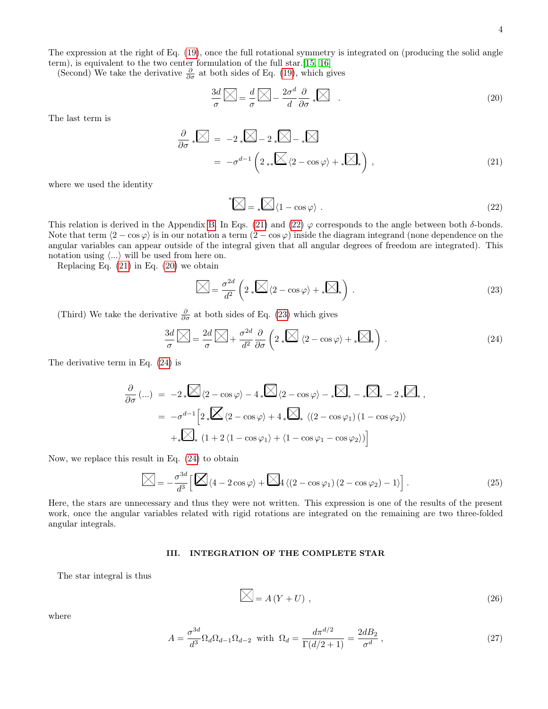The expression at the right of Eq. [\(19\)](#page-2-3), once the full rotational symmetry is integrated on (producing the solid angle term), is equivalent to the two center formulation of the full star.[\[15,](#page-14-13) [16\]](#page-14-14)

(Second) We take the derivative  $\frac{\partial}{\partial \sigma}$  at both sides of Eq. [\(19\)](#page-2-3), which gives

<span id="page-3-3"></span>
$$
\frac{3d}{\sigma} \boxed{\bigtimes} = \frac{d}{\sigma} \boxed{\bigtimes} - \frac{2\sigma^d}{d} \frac{\partial}{\partial \sigma} \sqrt[k]{\bigtimes} \quad . \tag{20}
$$

The last term is

<span id="page-3-1"></span>
$$
\frac{\partial}{\partial \sigma} * \mathbb{X} = -2 * \mathbb{X} - 2 * \mathbb{X} - 2 * \mathbb{X}
$$
\n
$$
= -\sigma^{d-1} \left( 2 * \mathbb{X} \langle 2 - \cos \varphi \rangle + * \mathbb{X} \right),
$$
\n(21)

where we used the identity

<span id="page-3-2"></span>
$$
^*\sum \, = \, \ast \sum \, \langle 1 - \cos \varphi \rangle \; . \tag{22}
$$

This relation is derived in the Appendix [B.](#page-12-0) In Eqs. [\(21\)](#page-3-1) and [\(22\)](#page-3-2)  $\varphi$  corresponds to the angle between both  $\delta$ -bonds. Note that term  $(2 - \cos \varphi)$  is in our notation a term  $(2 - \cos \varphi)$  inside the diagram integrand (none dependence on the angular variables can appear outside of the integral given that all angular degrees of freedom are integrated). This notation using  $\langle ... \rangle$  will be used from here on.

Replacing Eq. [\(21\)](#page-3-1) in Eq. [\(20\)](#page-3-3) we obtain

<span id="page-3-4"></span>
$$
\boxed{\sum} = \frac{\sigma^{2d}}{d^2} \left( 2 \sqrt{\sum} \langle 2 - \cos \varphi \rangle + \sqrt{\sum} \rangle \right). \tag{23}
$$

(Third) We take the derivative  $\frac{\partial}{\partial \sigma}$  at both sides of Eq. [\(23\)](#page-3-4) which gives

<span id="page-3-5"></span>
$$
\frac{3d}{\sigma} \widehat{\bigotimes} = \frac{2d}{\sigma} \widehat{\bigotimes} + \frac{\sigma^{2d}}{d^2} \frac{\partial}{\partial \sigma} \left( 2 \sqrt{\bigotimes} \langle 2 - \cos \varphi \rangle + \sqrt{\bigotimes} \right). \tag{24}
$$

The derivative term in Eq. [\(24\)](#page-3-5) is

$$
\frac{\partial}{\partial \sigma} (...) = -2_* \mathbb{Z} \langle 2 - \cos \varphi \rangle - 4_* \mathbb{Z} \langle 2 - \cos \varphi \rangle - * \mathbb{Z} \langle 2 - \cos \varphi \rangle - * \mathbb{Z} \langle 2 - \cos \varphi \rangle + 4_* \mathbb{Z} \langle 2 - \cos \varphi \rangle + 4_* \mathbb{Z} \langle 2 - \cos \varphi \rangle + 4_* \mathbb{Z} \langle 2 - \cos \varphi \rangle + * \mathbb{Z} \langle 2 - \cos \varphi \rangle + 4_* \mathbb{Z} \langle 2 - \cos \varphi \rangle + 4_* \mathbb{Z} \langle 2 - \cos \varphi \rangle
$$

Now, we replace this result in Eq. [\(24\)](#page-3-5) to obtain

$$
\sum = -\frac{\sigma^{3d}}{d^3} \left[ \sum \langle 4 - 2\cos\varphi \rangle + \sum 4 \langle (2 - \cos\varphi_1)(2 - \cos\varphi_2) - 1 \rangle \right]. \tag{25}
$$

Here, the stars are unnecessary and thus they were not written. This expression is one of the results of the present work, once the angular variables related with rigid rotations are integrated on the remaining are two three-folded angular integrals.

#### <span id="page-3-0"></span>III. INTEGRATION OF THE COMPLETE STAR

The star integral is thus

<span id="page-3-6"></span>
$$
\boxed{\boxtimes} = A(Y + U) \tag{26}
$$

where

$$
A = \frac{\sigma^{3d}}{d^3} \Omega_d \Omega_{d-1} \Omega_{d-2} \text{ with } \Omega_d = \frac{d\pi^{d/2}}{\Gamma(d/2+1)} = \frac{2dB_2}{\sigma^d} \,,\tag{27}
$$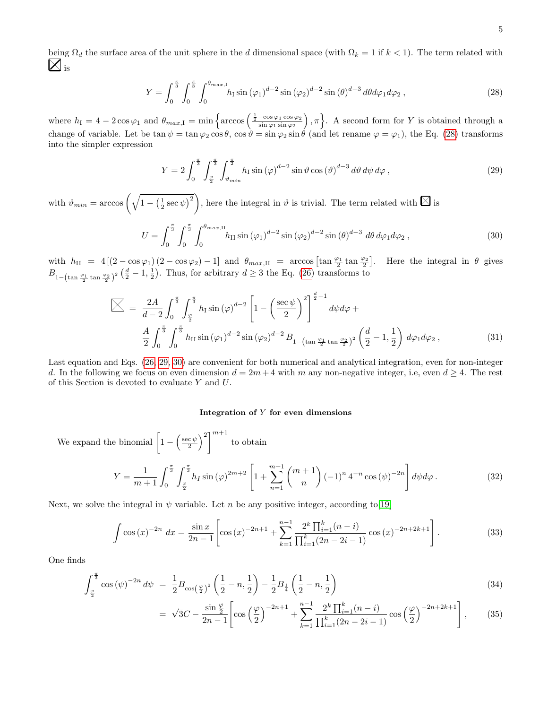being  $\Omega_d$  the surface area of the unit sphere in the d dimensional space (with  $\Omega_k = 1$  if  $k < 1$ ). The term related with  $\boxtimes$ <sub>is</sub>

<span id="page-4-0"></span>
$$
Y = \int_0^{\frac{\pi}{3}} \int_0^{\frac{\pi}{3}} \int_0^{\theta_{max,1}} h_I \sin(\varphi_1)^{d-2} \sin(\varphi_2)^{d-2} \sin(\theta)^{d-3} d\theta d\varphi_1 d\varphi_2 , \qquad (28)
$$

where  $h_1 = 4 - 2\cos\varphi_1$  and  $\theta_{max,1} = \min\left\{\arccos\left(\frac{\frac{1}{2} - \cos\varphi_1 \cos \varphi_2}{\sin\varphi_1 \sin \varphi_2}\right), \pi\right\}$ . A second form for Y is obtained through a change of variable. Let be  $\tan \psi = \tan \varphi_2 \cos \theta$ ,  $\cos \vartheta = \sin \varphi_2 \sin \theta$  (and let rename  $\varphi = \varphi_1$ ), the Eq. [\(28\)](#page-4-0) transforms into the simpler expression

<span id="page-4-1"></span>
$$
Y = 2\int_0^{\frac{\pi}{3}} \int_{\frac{\varphi}{2}}^{\frac{\pi}{3}} \int_{\vartheta_{min}}^{\frac{\pi}{2}} h_1 \sin(\varphi)^{d-2} \sin \vartheta \cos(\vartheta)^{d-3} d\vartheta d\psi d\varphi , \qquad (29)
$$

with  $\vartheta_{min} = \arccos\left(\sqrt{1 - \left(\frac{1}{2}\sec\psi\right)^2}\right)$ , here the integral in  $\vartheta$  is trivial. The term related with  $\boxtimes$  is

<span id="page-4-2"></span>
$$
U = \int_0^{\frac{\pi}{3}} \int_0^{\frac{\pi}{3}} \int_0^{\theta_{max,\text{II}}} h_{\text{II}} \sin{(\varphi_1)}^{d-2} \sin{(\varphi_2)}^{d-2} \sin{(\theta)}^{d-3} d\theta d\varphi_1 d\varphi_2 , \qquad (30)
$$

with  $h_{II} = 4[(2-\cos\varphi_1)(2-\cos\varphi_2)-1]$  and  $\theta_{max,II} = \arccos\left[\tan\frac{\varphi_1}{2}\tan\frac{\varphi_2}{2}\right]$ . Here the integral in  $\theta$  gives  $B_{1-(\tan \frac{\varphi_1}{2} \tan \frac{\varphi_2}{2})^2}(\frac{d}{2}-1,\frac{1}{2})$ . Thus, for arbitrary  $d \geq 3$  the Eq. [\(26\)](#page-3-6) transforms to

<span id="page-4-3"></span>
$$
\mathbb{X} = \frac{2A}{d-2} \int_0^{\frac{\pi}{3}} \int_{\frac{\varphi}{2}}^{\frac{\pi}{3}} h_1 \sin(\varphi)^{d-2} \left[ 1 - \left( \frac{\sec \psi}{2} \right)^2 \right]^{\frac{d}{2}-1} d\psi d\varphi +
$$
  

$$
\frac{A}{2} \int_0^{\frac{\pi}{3}} \int_0^{\frac{\pi}{3}} h_{II} \sin(\varphi_1)^{d-2} \sin(\varphi_2)^{d-2} B_{1-(\tan\frac{\varphi_1}{2}\tan\frac{\varphi_2}{2})^2} \left( \frac{d}{2} - 1, \frac{1}{2} \right) d\varphi_1 d\varphi_2 ,
$$
(31)

Last equation and Eqs. [\(26,](#page-3-6) [29,](#page-4-1) [30\)](#page-4-2) are convenient for both numerical and analytical integration, even for non-integer d. In the following we focus on even dimension  $d = 2m + 4$  with m any non-negative integer, i.e, even  $d \geq 4$ . The rest of this Section is devoted to evaluate Y and U.

### Integration of Y for even dimensions

We expand the binomial  $\left[1-\left(\frac{\sec \psi}{2}\right)^2\right]^{m+1}$  to obtain

$$
Y = \frac{1}{m+1} \int_0^{\frac{\pi}{3}} \int_{\frac{\varphi}{2}}^{\frac{\pi}{3}} h_I \sin(\varphi)^{2m+2} \left[ 1 + \sum_{n=1}^{m+1} {m+1 \choose n} \left(-1\right)^n 4^{-n} \cos(\psi)^{-2n} \right] d\psi d\varphi.
$$
 (32)

Next, we solve the integral in  $\psi$  variable. Let n be any positive integer, according to [\[19\]](#page-14-15)

$$
\int \cos\left(x\right)^{-2n} dx = \frac{\sin x}{2n-1} \left[ \cos\left(x\right)^{-2n+1} + \sum_{k=1}^{n-1} \frac{2^k \prod_{i=1}^k (n-i)}{\prod_{i=1}^k (2n-2i-1)} \cos\left(x\right)^{-2n+2k+1} \right].
$$
 (33)

One finds

$$
\int_{\frac{\varphi}{2}}^{\frac{\pi}{3}} \cos\left(\psi\right)^{-2n} d\psi = \frac{1}{2} B_{\cos\left(\frac{\varphi}{2}\right)^2} \left(\frac{1}{2} - n, \frac{1}{2}\right) - \frac{1}{2} B_{\frac{1}{4}} \left(\frac{1}{2} - n, \frac{1}{2}\right)
$$
(34)

$$
= \sqrt{3}C - \frac{\sin\frac{\varphi}{2}}{2n-1} \left[ \cos\left(\frac{\varphi}{2}\right)^{-2n+1} + \sum_{k=1}^{n-1} \frac{2^k \prod_{i=1}^k (n-i)}{\prod_{i=1}^k (2n-2i-1)} \cos\left(\frac{\varphi}{2}\right)^{-2n+2k+1} \right],\tag{35}
$$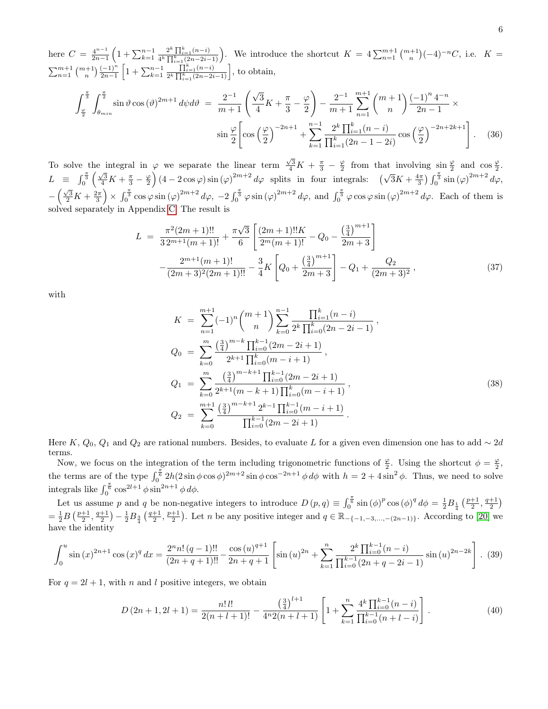here  $C = \frac{4^{n-1}}{2n-1}$  $\frac{4^{n-1}}{2n-1}\left(1+\sum_{k=1}^{n-1} \right)$  $\frac{2^k \prod_{i=1}^k (n-i)}{n \choose k}$ . We introduce the shortcut  $K = 4 \sum_{n=1}^{m+1} {m+1 \choose n} (-4)^{-n} C$ , i.e.  $K =$  $\sum_{n=1}^{m+1} \binom{m+1}{n} \frac{(-1)^n}{2n-1} \left[ 1 + \sum_{k=1}^{n-1} \right]$  $\frac{\prod_{i=1}^{k}(n-i)}{2^{k}\prod_{i=1}^{k}(2n-2i-1)}$ , to obtain,

<span id="page-5-3"></span>
$$
\int_{\frac{\varphi}{2}}^{\frac{\pi}{3}} \int_{\theta_{min}}^{\frac{\pi}{2}} \sin \vartheta \cos (\vartheta)^{2m+1} d\psi d\vartheta = \frac{2^{-1}}{m+1} \left( \frac{\sqrt{3}}{4} K + \frac{\pi}{3} - \frac{\varphi}{2} \right) - \frac{2^{-1}}{m+1} \sum_{n=1}^{m+1} {m+1 \choose n} \frac{(-1)^n 4^{-n}}{2n-1} \times \sin \frac{\varphi}{2} \left[ \cos \left( \frac{\varphi}{2} \right)^{-2n+1} + \sum_{k=1}^{n-1} \frac{2^k \prod_{i=1}^k (n-i)}{\prod_{i=1}^k (2n-1-2i)} \cos \left( \frac{\varphi}{2} \right)^{-2n+2k+1} \right]. \tag{36}
$$

To solve the integral in  $\varphi$  we separate the linear term  $\frac{\sqrt{3}}{4}K + \frac{\pi}{3} - \frac{\varphi}{2}$  from that involving  $\sin \frac{\varphi}{2}$  and  $\cos \frac{\varphi}{2}$ .  $L \equiv \int_0^{\frac{\pi}{3}} \left( \frac{\sqrt{3}}{4} K + \frac{\pi}{3} - \frac{\varphi}{2} \right) (4 - 2 \cos \varphi) \sin (\varphi)^{2m+2} d\varphi$  splits in four integrals:  $(\sqrt{3} K + \frac{4 \pi}{3}) \int_0^{\frac{\pi}{3}} \sin (\varphi)^{2m+2} d\varphi$ ,  $-\left(\frac{\sqrt{3}}{2}K+\frac{2\pi}{3}\right)\times \int_0^{\frac{\pi}{3}} \cos\varphi \sin(\varphi)^{2m+2} d\varphi$ ,  $-2\int_0^{\frac{\pi}{3}} \varphi \sin(\varphi)^{2m+2} d\varphi$ , and  $\int_0^{\frac{\pi}{3}} \varphi \cos\varphi \sin(\varphi)^{2m+2} d\varphi$ . Each of them is solved separately in Appendix [C.](#page-13-0) The result is

<span id="page-5-0"></span>
$$
L = \frac{\pi^2 (2m+1)!!}{3 \, 2^{m+1} (m+1)!} + \frac{\pi \sqrt{3}}{6} \left[ \frac{(2m+1)!! K}{2^m (m+1)!} - Q_0 - \frac{\left(\frac{3}{4}\right)^{m+1}}{2m+3} \right] - \frac{2^{m+1} (m+1)!}{(2m+3)^2 (2m+1)!!} - \frac{3}{4} K \left[ Q_0 + \frac{\left(\frac{3}{4}\right)^{m+1}}{2m+3} \right] - Q_1 + \frac{Q_2}{(2m+3)^2}, \tag{37}
$$

with

<span id="page-5-1"></span>
$$
K = \sum_{n=1}^{m+1} (-1)^n {m+1 \choose n} \sum_{k=0}^{n-1} \frac{\prod_{i=1}^k (n-i)}{2^k \prod_{i=0}^k (2n-2i-1)},
$$
  
\n
$$
Q_0 = \sum_{k=0}^m \frac{\left(\frac{3}{4}\right)^{m-k} \prod_{i=0}^{k-1} (2m-2i+1)}{2^{k+1} \prod_{i=0}^k (m-i+1)},
$$
  
\n
$$
Q_1 = \sum_{k=0}^m \frac{\left(\frac{3}{4}\right)^{m-k+1} \prod_{i=0}^{k-1} (2m-2i+1)}{2^{k+1} (m-k+1) \prod_{i=0}^k (m-i+1)},
$$
  
\n
$$
Q_2 = \sum_{k=0}^{m+1} \frac{\left(\frac{3}{4}\right)^{m-k+1} 2^{k-1} \prod_{i=0}^{k-1} (m-i+1)}{\prod_{i=0}^{k-1} (2m-2i+1)}.
$$
\n(38)

Here K,  $Q_0$ ,  $Q_1$  and  $Q_2$  are rational numbers. Besides, to evaluate L for a given even dimension one has to add ∼ 2d terms.

Now, we focus on the integration of the term including trigonometric functions of  $\frac{\varphi}{2}$ . Using the shortcut  $\phi = \frac{\varphi}{2}$ , the terms are of the type  $\int_0^{\frac{\pi}{6}} 2h(2\sin\phi\cos\phi)^{2m+2}\sin\phi\cos^{-2n+1}\phi d\phi$  with  $h = 2 + 4\sin^2\phi$ . Thus, we need to solve integrals like  $\int_0^{\frac{\pi}{6}} \cos^{2l+1} \phi \sin^{2n+1} \phi \, d\phi$ .

Let us assume p and q be non-negative integers to introduce  $D(p,q) \equiv \int_0^{\frac{\pi}{6}} \sin(\phi)^p \cos(\phi)^q d\phi = \frac{1}{2} B_{\frac{1}{4}} \left(\frac{p+1}{2}, \frac{q+1}{2}\right)$  $=\frac{1}{2}B\left(\frac{p+1}{2},\frac{q+1}{2}\right)-\frac{1}{2}B_{\frac{3}{4}}\left(\frac{q+1}{2},\frac{p+1}{2}\right)$ . Let n be any positive integer and  $q \in \mathbb{R}_{-\{-1,-3,\dots,-(2n-1)\}}$ . According to [\[20\]](#page-14-16) we have the identity

<span id="page-5-4"></span>
$$
\int_0^u \sin(x)^{2n+1} \cos(x)^q dx = \frac{2^n n! (q-1)!!}{(2n+q+1)!!} - \frac{\cos(u)^{q+1}}{2n+q+1} \left[ \sin(u)^{2n} + \sum_{k=1}^n \frac{2^k \prod_{i=0}^{k-1} (n-i)}{\prod_{i=0}^{k-1} (2n+q-2i-1)} \sin(u)^{2n-2k} \right]. \tag{39}
$$

For  $q = 2l + 1$ , with n and l positive integers, we obtain

<span id="page-5-2"></span>
$$
D(2n+1,2l+1) = \frac{n! \, l!}{2(n+l+1)!} - \frac{\left(\frac{3}{4}\right)^{l+1}}{4^n 2(n+l+1)} \left[1 + \sum_{k=1}^n \frac{4^k \prod_{i=0}^{k-1} (n-i)}{\prod_{i=0}^{k-1} (n+l-i)}\right].\tag{40}
$$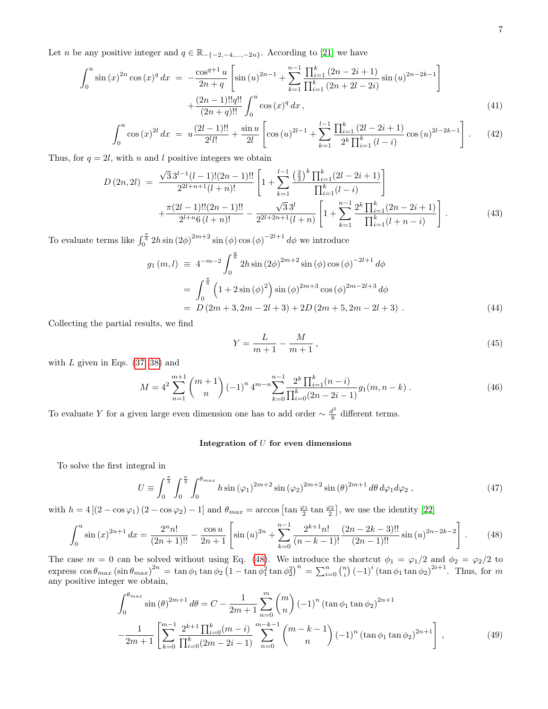Let *n* be any positive integer and  $q \in \mathbb{R}_{-\{-2,-4,\dots,-2n\}}$ . According to [\[21\]](#page-14-17) we have

$$
\int_0^u \sin(x)^{2n} \cos(x)^q dx = -\frac{\cos^{q+1} u}{2n+q} \left[ \sin(u)^{2n-1} + \sum_{k=1}^{n-1} \frac{\prod_{i=1}^k (2n-2i+1)}{\prod_{i=1}^k (2n+2i-2i)} \sin(u)^{2n-2k-1} \right] + \frac{(2n-1)!!q!!}{(2n+q)!!} \int_0^u \cos(x)^q dx,
$$
\n(41)

$$
\int_0^u \cos(x)^{2l} dx = u \frac{(2l-1)!!}{2^l l!} + \frac{\sin u}{2l} \left[ \cos(u)^{2l-1} + \sum_{k=1}^{l-1} \frac{\prod_{i=1}^k (2l-2i+1)}{2^k \prod_{i=1}^k (l-i)} \cos(u)^{2l-2k-1} \right].
$$
 (42)

Thus, for  $q = 2l$ , with n and l positive integers we obtain

<span id="page-6-3"></span>
$$
D(2n, 2l) = \frac{\sqrt{3}3^{l-1}(l-1)!(2n-1)!!}{2^{2l+n+1}(l+n)!} \left[1 + \sum_{k=1}^{l-1} \frac{\left(\frac{2}{3}\right)^k \prod_{i=1}^k (2l-2i+1)}{\prod_{i=1}^k (l-i)}\right] + \frac{\pi(2l-1)!!(2n-1)!!}{2^{l+n}6(l+n)!} - \frac{\sqrt{3}3^l}{2^{2l+2n+1}(l+n)} \left[1 + \sum_{k=1}^{n-1} \frac{2^k \prod_{i=1}^k (2n-2i+1)}{\prod_{i=1}^k (l+n-i)}\right].
$$
\n(43)

To evaluate terms like  $\int_0^{\frac{\pi}{6}} 2h \sin (2\phi)^{2m+2} \sin (\phi) \cos (\phi)^{-2l+1} d\phi$  we introduce

$$
g_1(m, l) \equiv 4^{-m-2} \int_0^{\frac{\pi}{6}} 2h \sin(2\phi)^{2m+2} \sin(\phi) \cos(\phi)^{-2l+1} d\phi
$$
  

$$
= \int_0^{\frac{\pi}{6}} \left(1 + 2\sin(\phi)^2\right) \sin(\phi)^{2m+3} \cos(\phi)^{2m-2l+3} d\phi
$$
  

$$
= D(2m+3, 2m-2l+3) + 2D(2m+5, 2m-2l+3) . \tag{44}
$$

Collecting the partial results, we find

<span id="page-6-4"></span>
$$
Y = \frac{L}{m+1} - \frac{M}{m+1},
$$
\n(45)

with  $L$  given in Eqs.  $(37, 38)$  $(37, 38)$  and

$$
M = 4^2 \sum_{n=1}^{m+1} {m+1 \choose n} (-1)^n 4^{m-n} \sum_{k=0}^{n-1} \frac{2^k \prod_{i=1}^k (n-i)}{\prod_{i=0}^k (2n-2i-1)} g_1(m, n-k) . \tag{46}
$$

To evaluate Y for a given large even dimension one has to add order  $\sim \frac{d^3}{8}$  $\frac{d^2}{8}$  different terms.

# Integration of  $U$  for even dimensions

To solve the first integral in

<span id="page-6-1"></span>
$$
U \equiv \int_0^{\frac{\pi}{3}} \int_0^{\frac{\pi}{3}} \int_0^{\theta_{max}} h \sin(\varphi_1)^{2m+2} \sin(\varphi_2)^{2m+2} \sin(\theta)^{2m+1} d\theta d\varphi_1 d\varphi_2 , \qquad (47)
$$

with  $h = 4 [(2 - \cos \varphi_1)(2 - \cos \varphi_2) - 1]$  and  $\theta_{max} = \arccos \left[ \tan \frac{\varphi_1}{2} \tan \frac{\varphi_2}{2} \right]$ , we use the identity [\[22\]](#page-14-18)

<span id="page-6-0"></span>
$$
\int_0^u \sin(x)^{2n+1} dx = \frac{2^n n!}{(2n+1)!!} - \frac{\cos u}{2n+1} \left[ \sin(u)^{2n} + \sum_{k=0}^{n-1} \frac{2^{k+1} n!}{(n-k-1)!} \frac{(2n-2k-3)!!}{(2n-1)!!} \sin(u)^{2n-2k-2} \right].
$$
 (48)

The case  $m = 0$  can be solved without using Eq. [\(48\)](#page-6-0). We introduce the shortcut  $\phi_1 = \phi_1/2$  and  $\phi_2 = \phi_2/2$  to express  $\cos\theta_{max}(\sin\theta_{max})^{2n} = \tan\phi_1\tan\phi_2(1-\tan\phi_1^2\tan\phi_2^2)^n = \sum_{i=0}^n {n \choose i} (-1)^i (\tan\phi_1\tan\phi_2)^{2i+1}$ . Thus, for m any positive integer we obtain,

<span id="page-6-2"></span>
$$
\int_0^{\theta_{max}} \sin(\theta)^{2m+1} d\theta = C - \frac{1}{2m+1} \sum_{n=0}^m {m \choose n} (-1)^n (\tan \phi_1 \tan \phi_2)^{2n+1} - \frac{1}{2m+1} \left[ \sum_{k=0}^{m-1} \frac{2^{k+1} \prod_{i=0}^k (m-i)}{\prod_{i=0}^k (2m-2i-1)} \sum_{n=0}^{m-k-1} {m-k-1 \choose n} (-1)^n (\tan \phi_1 \tan \phi_2)^{2n+1} \right],
$$
(49)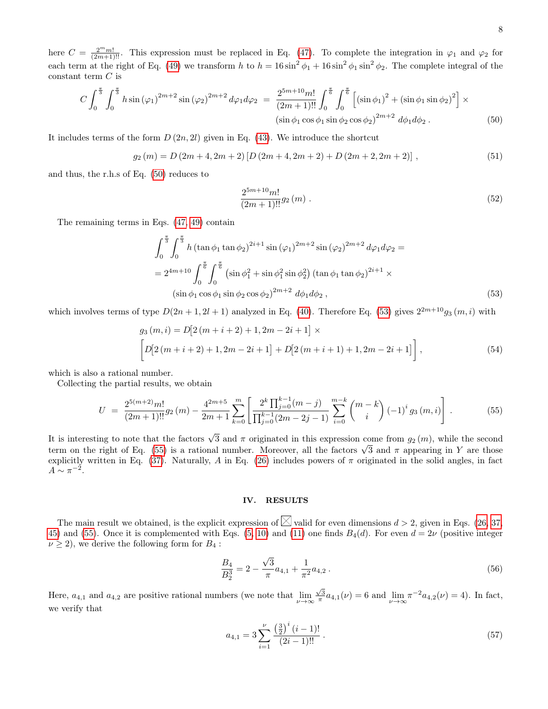here  $C = \frac{2^m m!}{(2m+1)!!}$ . This expression must be replaced in Eq. [\(47\)](#page-6-1). To complete the integration in  $\varphi_1$  and  $\varphi_2$  for each term at the right of Eq. [\(49\)](#page-6-2) we transform h to  $h = 16 \sin^2 \phi_1 + 16 \sin^2 \phi_1 \sin^2 \phi_2$ . The complete integral of the constant term  $C$  is

<span id="page-7-1"></span>
$$
C\int_0^{\frac{\pi}{3}} \int_0^{\frac{\pi}{3}} h \sin(\varphi_1)^{2m+2} \sin(\varphi_2)^{2m+2} d\varphi_1 d\varphi_2 = \frac{2^{5m+10}m!}{(2m+1)!!} \int_0^{\frac{\pi}{6}} \int_0^{\frac{\pi}{6}} \left[ (\sin \phi_1)^2 + (\sin \phi_1 \sin \phi_2)^2 \right] \times \left( \sin \phi_1 \cos \phi_1 \sin \phi_2 \cos \phi_2 \right)^{2m+2} d\phi_1 d\phi_2.
$$
 (50)

It includes terms of the form  $D(2n, 2l)$  given in Eq. [\(43\)](#page-6-3). We introduce the shortcut

$$
g_2(m) = D(2m+4, 2m+2) [D(2m+4, 2m+2) + D(2m+2, 2m+2)],
$$
\n(51)

and thus, the r.h.s of Eq. [\(50\)](#page-7-1) reduces to

$$
\frac{2^{5m+10}m!}{(2m+1)!!}g_2(m) \tag{52}
$$

The remaining terms in Eqs. [\(47,](#page-6-1) [49\)](#page-6-2) contain

<span id="page-7-2"></span>
$$
\int_0^{\frac{\pi}{3}} \int_0^{\frac{\pi}{3}} h \left( \tan \phi_1 \tan \phi_2 \right)^{2i+1} \sin (\varphi_1)^{2m+2} \sin (\varphi_2)^{2m+2} d\varphi_1 d\varphi_2 =
$$
  
=  $2^{4m+10} \int_0^{\frac{\pi}{6}} \int_0^{\frac{\pi}{6}} \left( \sin \phi_1^2 + \sin \phi_1^2 \sin \phi_2^2 \right) (\tan \phi_1 \tan \phi_2)^{2i+1} \times$   
 $(\sin \phi_1 \cos \phi_1 \sin \phi_2 \cos \phi_2)^{2m+2} d\phi_1 d\phi_2 ,$  (53)

which involves terms of type  $D(2n+1, 2l+1)$  analyzed in Eq. [\(40\)](#page-5-2). Therefore Eq. [\(53\)](#page-7-2) gives  $2^{2m+10}g_3(m, i)$  with

$$
g_3(m, i) = D[2(m + i + 2) + 1, 2m - 2i + 1] \times
$$
  
\n
$$
\left[ D[2(m + i + 2) + 1, 2m - 2i + 1] + D[2(m + i + 1) + 1, 2m - 2i + 1] \right],
$$
\n(54)

which is also a rational number.

Collecting the partial results, we obtain

<span id="page-7-3"></span>
$$
U = \frac{2^{5(m+2)}m!}{(2m+1)!!}g_2(m) - \frac{4^{2m+5}}{2m+1}\sum_{k=0}^m \left[ \frac{2^k \prod_{j=0}^{k-1} (m-j)}{\prod_{j=0}^{k-1} (2m-2j-1)} \sum_{i=0}^{m-k} {m-k \choose i} (-1)^i g_3(m,i) \right].
$$
 (55)

It is interesting to note that the factors  $\sqrt{3}$  and  $\pi$  originated in this expression come from  $g_2(m)$ , while the second term on the right of Eq. [\(55\)](#page-7-3) is a rational number. Moreover, all the factors  $\sqrt{3}$  and π appearing in Y are those explicitly written in Eq. [\(37\)](#page-5-0). Naturally, A in Eq. [\(26\)](#page-3-6) includes powers of  $\pi$  originated in the solid angles, in fact  $A \sim \pi^{-2}$ .

## <span id="page-7-0"></span>IV. RESULTS

The main result we obtained, is the explicit expression of  $\boxtimes$  valid for even dimensions  $d > 2$ , given in Eqs. [\(26,](#page-3-6) [37,](#page-5-0) [45\)](#page-6-4) and [\(55\)](#page-7-3). Once it is complemented with Eqs. [\(5,](#page-0-1) [10\)](#page-1-2) and [\(11\)](#page-1-1) one finds  $B_4(d)$ . For even  $d = 2\nu$  (positive integer  $\nu \geq 2$ , we derive the following form for  $B_4$ :

<span id="page-7-4"></span>
$$
\frac{B_4}{B_2^3} = 2 - \frac{\sqrt{3}}{\pi} a_{4,1} + \frac{1}{\pi^2} a_{4,2} .
$$
\n(56)

Here,  $a_{4,1}$  and  $a_{4,2}$  are positive rational numbers (we note that  $\lim_{\nu\to\infty} \frac{\sqrt{3}}{\pi} a_{4,1}(\nu) = 6$  and  $\lim_{\nu\to\infty} \pi^{-2} a_{4,2}(\nu) = 4$ ). In fact, we verify that

$$
a_{4,1} = 3 \sum_{i=1}^{\nu} \frac{\left(\frac{3}{2}\right)^i (i-1)!}{(2i-1)!!} \,. \tag{57}
$$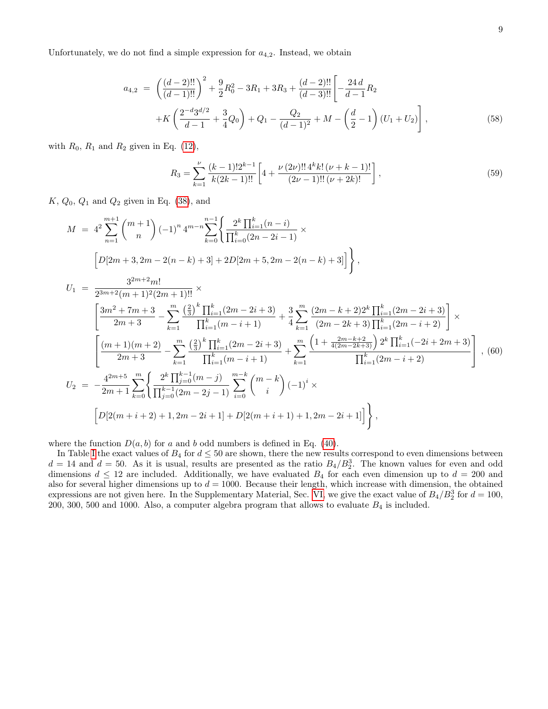Unfortunately, we do not find a simple expression for  $a_{4,2}$ . Instead, we obtain

$$
a_{4,2} = \left(\frac{(d-2)!!}{(d-1)!!}\right)^2 + \frac{9}{2}R_0^2 - 3R_1 + 3R_3 + \frac{(d-2)!!}{(d-3)!!} \left[ -\frac{24d}{d-1}R_2 + K\left(\frac{2^{-d}3^{d/2}}{d-1} + \frac{3}{4}Q_0\right) + Q_1 - \frac{Q_2}{(d-1)^2} + M - \left(\frac{d}{2} - 1\right)(U_1 + U_2) \right],
$$
\n(58)

with  $R_0$ ,  $R_1$  and  $R_2$  given in Eq. [\(12\)](#page-1-3),

$$
R_3 = \sum_{k=1}^{\nu} \frac{(k-1)! 2^{k-1}}{k(2k-1)!!} \left[ 4 + \frac{\nu (2\nu)!! 4^k k! (\nu + k - 1)!}{(2\nu - 1)!! (\nu + 2k)!} \right],
$$
\n(59)

 $K, Q_0, Q_1$  and  $Q_2$  given in Eq. [\(38\)](#page-5-1), and

$$
M = 4^{2} \sum_{n=1}^{m+1} {m+1 \choose n} (-1)^{n} 4^{m-n} \sum_{k=0}^{n-1} \left\{ \frac{2^{k} \prod_{i=1}^{k} (n-i)}{\prod_{i=0}^{k} (2n-2i-1)} \times \right\}
$$
  
\n
$$
\left[ D[2m+3, 2m-2(n-k)+3] + 2D[2m+5, 2m-2(n-k)+3] \right] \right\},
$$
  
\n
$$
U_{1} = \frac{3^{2m+2}m!}{2^{3m+2}(m+1)^{2}(2m+1)!!} \times \left[ \frac{3m^{2} + 7m + 3}{2m+3} - \sum_{k=1}^{m} \frac{\left(\frac{2}{3}\right)^{k} \prod_{i=1}^{k} (2m-2i+3)}{\prod_{i=1}^{k} (m-i+1)} + \frac{3}{4} \sum_{k=1}^{m} \frac{(2m-k+2)2^{k} \prod_{i=1}^{k} (2m-2i+3)}{(2m-2k+3) \prod_{i=1}^{k} (2m-i+2)} \right] \times \left[ \frac{(m+1)(m+2)}{2m+3} - \sum_{k=1}^{m} \frac{\left(\frac{2}{3}\right)^{k} \prod_{i=1}^{k} (2m-2i+3)}{\prod_{i=1}^{k} (m-i+1)} + \sum_{k=1}^{m} \frac{\left(1 + \frac{2m-k+2}{4(2m-2k+3)}\right) 2^{k} \prod_{i=1}^{k} (-2i+2m+3)}{\prod_{i=1}^{k} (2m-i+2)} \right], (60)
$$
  
\n
$$
U_{2} = -\frac{4^{2m+5}}{2m+1} \sum_{k=0}^{m} \left\{ \frac{2^{k} \prod_{j=0}^{k-1} (m-j)}{\prod_{j=0}^{k-1} (2m-2j-1)} \sum_{i=0}^{m-k} {m-k \choose i} (-1)^{i} \times \left[ D[2(m+i+2)+1, 2m-2i+1] + D[2(m+i+1)+1, 2m-2i+1] \right] \right\},
$$

where the function  $D(a, b)$  for a and b odd numbers is defined in Eq. [\(40\)](#page-5-2).

In Table [I](#page-9-0) the exact values of  $B_4$  for  $d \leq 50$  are shown, there the new results correspond to even dimensions between  $d = 14$  and  $d = 50$ . As it is usual, results are presented as the ratio  $B_4/B_2^3$ . The known values for even and odd dimensions  $d \leq 12$  are included. Additionally, we have evaluated  $B_4$  for each even dimension up to  $d = 200$  and also for several higher dimensions up to  $d = 1000$ . Because their length, which increase with dimension, the obtained expressions are not given here. In the Supplementary Material, Sec. [VI,](#page-11-1) we give the exact value of  $B_4/B_2^3$  for  $d = 100$ , 200, 300, 500 and 1000. Also, a computer algebra program that allows to evaluate  $B_4$  is included.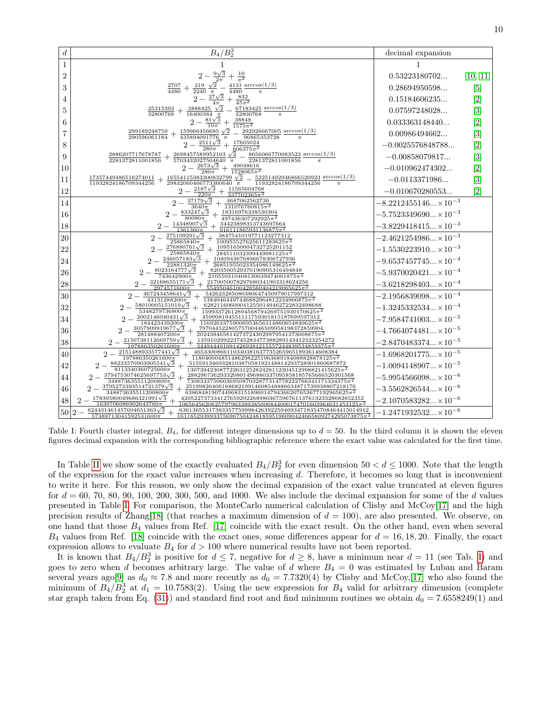| $\boldsymbol{d}$ | $\ensuremath{B_4}/\ensuremath{B_2^3}$                                                                                                                                                                            | decimal expansion              |                  |
|------------------|------------------------------------------------------------------------------------------------------------------------------------------------------------------------------------------------------------------|--------------------------------|------------------|
| 1                |                                                                                                                                                                                                                  |                                |                  |
| $\overline{2}$   | $+\frac{10}{\pi^2}$                                                                                                                                                                                              | 0.53223180702                  | [10, 11]         |
| 3                | 4131 $arccos(1/3)$<br>219<br>2707<br>$^+$<br>4480<br>$\overline{2240}$ <sub><math>\pi</math></sub><br>4480<br>$\pi$                                                                                              | 0.28694950598                  | [5]              |
| 4                | 832<br>$27\sqrt{3}$<br>2<br>$45\overline{\pi^2}$<br>$4\pi$                                                                                                                                                       | 0.15184606235                  | $[2]$            |
| 5                | $3888425 \sqrt{2}$<br>$67183425 \arccos(1/3)$<br>25315393<br>$^+$<br>32800768<br>16400384<br>32800768<br>$\pi$                                                                                                   | 0.07597248028                  | $\left[3\right]$ |
| 6                | $81\sqrt{3}$<br>38848<br>$1575\pi^2$<br>$10\pi$                                                                                                                                                                  | 0.033363148440                 | $[2]$            |
| 7                | 159966456685 $\sqrt{2}$<br>$292926667005 \arccos(1/3)$<br>299189248759<br>290596061184<br>96865353728<br>435894091776 $\pi$<br>$\pi$                                                                             | 0.00986494662                  | [3]              |
| 8                | $\frac{2511\sqrt{3}}{25}$<br>17605024<br>$606375\pi^2$<br>$280\pi$                                                                                                                                               | $-0.0025576848788$             | $[2]$            |
| 9                | 2698457589952103 $\sqrt{2}$<br>$8656066770083523 \arccos(1/3)$<br>2886207717678787<br>$^+$<br>2281372811001856<br>2281372811001856<br>5703432027504640 $\pi$<br>$\pi$                                            | $-0.00858079817$               | $\left[3\right]$ |
| 10               | $2673\sqrt{3}$<br>49048616<br>$15\overline{28065\pi^2}$<br>$280\pi$                                                                                                                                              | $-0.010962474302$              | $[2]$            |
| 11               | $16554115383300832799 \sqrt{2}$<br>$52251492946866520923 \arccos(1/3)$<br>17357449486516274011<br>$29832060466773360640$ $\pi$<br>11932824186709344256<br>11932824186709344256                                   | $-0.0113371986$                | $\left[3\right]$ |
| 12               | $2187\sqrt{3}$<br>11565604768<br>$\overline{2}$<br>$220\pi$<br>$337702365\pi^2$                                                                                                                                  | $-0.010670280553$              | $[2]$            |
| 14               | $37179\sqrt{3}$<br>4687062562736<br>$3640\pi$<br>$131076760815\pi^2$                                                                                                                                             | $-8.2212455146 \times 10^{-3}$ |                  |
| 16               | $833247\sqrt{3}$<br>18316976338530304<br>$497436307292925\pi^2$<br>$80080\pi$                                                                                                                                    | $-5.7523349690 \times 10^{-3}$ |                  |
| 18               | $14348907\sqrt{3}$<br>34423898313743697664<br>$916111865931136875\pi^2$<br>$1361360\pi$                                                                                                                          | $-3.8229418415 \times 10^{-3}$ |                  |
| 20               | $275109291\sqrt{3}$<br>3847541019771123277312<br>$\overline{2}$<br>$100955527625611283625\pi^2$<br>$25865840\pi$                                                                                                 | $-2.4621254986 \times 10^{-3}$ |                  |
| 22               | $276880761\sqrt{3}$<br>10951650004732725201152<br>$284511032399449981125\pi^2$<br>$25865840\pi$                                                                                                                  | $-1.5530223910 \times 10^{-3}$ |                  |
| 24               | $246057183\sqrt{3}$<br>1040943676896678306727936<br>$22881320\pi$<br>$26851955023354986149625\pi^2$                                                                                                              | $-9.6537457745 \times 10^{-4}$ |                  |
| 26               | $8023164777\sqrt{3}$<br>8203500529370190905316494848<br>$743642900\pi$<br>$210550310408130039474001875\pi^2$                                                                                                     | $-5.9370020421 \times 10^{-4}$ |                  |
| 28               | $32168655171\sqrt{3}$<br>2170050078297680341903318624256<br>$\overline{2}$<br>$55495046100428560404219065625\pi^2$<br>$2974571600\pi$                                                                            | $-3.6218298403 \times 10^{-4}$ |                  |
| 30               | $467243458641\sqrt{3}$<br>542623285080380647450979017997312<br>$2 -$<br>$43131288200\pi$<br>$13840464497446882964812234966875\pi^2$                                                                              | $-2.1956839098 \times 10^{-4}$ |                  |
| 32               | $58010005151019\sqrt{3}$<br>628211606000412550149462722832498688<br>$5348279736800\pi$<br>$15993372612894568794269751930170625\pi^2$                                                                             | $-1.3245332534 \times 10^{-4}$ |                  |
| 34               | 2002146040431 $\sqrt{3}$<br>459908194551111759301815187699597312<br>$\overline{2}$<br>$11692633759006953656314860654830625\pi^2$<br>184423439200 $\pi$                                                           | $-7.9584741003 \times 10^{-5}$ |                  |
| 36               | 3057909919677√3<br>79704452280575700446509958198372859904<br>2<br>$281488407200\pi$<br>$2024384658142737243029979541373008875\pi^2$                                                                              | $-4.7664074481 \times 10^{-5}$ |                  |
| 38               | $2150738112669759\sqrt{3}$<br>135910299223745283477388289143412323254272<br>$3449444910914269381215557244839534859375\pi^2$<br>$197886350261600\pi$                                                              | $-2.8470483374 \times 10^{-5}$ |                  |
| 40               | $2151488933577441\sqrt{3}$<br>46533008661103403816377352659651893614608384<br>$2-$<br>$1180400048514862982251963689184088828878125\pi^2$<br>$197886350261600\pi$                                                 | $-1.6968201775 \times 10^{-5}$ |                  |
| 42               | $88233570903905541\sqrt{3}$<br>515591346932810387058192148814293728901860687872<br>$13073942308772263125282428112304512998821415625\pi^2$<br>$8113340360725600\pi$                                               | $-1.0094148907 \times 10^{-5}$ |                  |
| 44               | $3794753074625697753\sqrt{3}$<br>288296736293320801496880337095858185765666520301568<br>$7308333750603695087032877314778222766341171334375\pi^2$<br>$348873635511200800\pi$                                      | $-5.9954566098 \times 10^{-6}$ |                  |
| 46               | 3795273393514721379 $\sqrt{3}$<br>2519982640616868219914608548886634871739938807218176<br>$\overline{2}$<br>$348873635511200800\pi$<br>63868481907449683151896014794366207653677192965625 $\pi^2$                | $-3.5562826544 \times 10^{-6}$ |                  |
| 48               | 17839580049686321991√3<br>42052273733412765929226898036759676113761323328682852352<br>$\overline{2}$<br>$25\pi^2$<br>$1639706086902643760\pi$<br>10656456206257979633893850068440001747016039646314531           | $-2.1070583282 \times 10^{-6}$ |                  |
| 50               | 6361365531738335775999842639225946934718354708464415014912<br>$624431461457604651363\sqrt{3}$<br>$\overline{2}$<br>$57389713041592531600\pi$<br>$161185293993375696750424818595196090424665809274295073875\pi^2$ | $-1.2471932532 \times 10^{-6}$ |                  |

<span id="page-9-0"></span>Table I: Fourth cluster integral,  $B_4$ , for different integer dimensions up to  $d = 50$ . In the third column it is shown the eleven figures decimal expansion with the corresponding bibliographic reference where the exact value was calculated for the first time.

In Table [II](#page-10-1) we show some of the exactly evaluated  $B_4/B_2^3$  for even dimension  $50 < d \le 1000$ . Note that the length of the expression for the exact value increases when increasing d. Therefore, it becomes so long that is inconvenient to write it here. For this reason, we only show the decimal expansion of the exact value truncated at eleven figures for  $d = 60, 70, 80, 90, 100, 200, 300, 500,$  and 1000. We also include the decimal expansion for some of the d values presented in Table [I.](#page-9-0) For comparison, the MonteCarlo numerical calculation of Clisby and McCoy[\[17\]](#page-14-19) and the high precision results of Zhang[\[18\]](#page-14-20) (that reaches a maximum dimension of  $d = 100$ ), are also presented. We observe, on one hand that those  $B_4$  values from Ref. [\[17\]](#page-14-19) coincide with the exact result. On the other hand, even when several  $B_4$  values from Ref. [\[18\]](#page-14-20) coincide with the exact ones, some differences appear for  $d = 16, 18, 20$ . Finally, the exact expression allows to evaluate  $B_4$  for  $d > 100$  where numerical results have not been reported.

It is known that  $B_4/B_2^3$  is positive for  $d \leq 7$ , negative for  $d \geq 8$ , have a minimum near  $d = 11$  (see Tab. [I\)](#page-9-0) and goes to zero when d becomes arbitrary large. The value of d where  $B_4 = 0$  was estimated by Luban and Baram several years ago[\[9\]](#page-14-7) as  $d_0 \approx 7.8$  and more recently as  $d_0 = 7.7320(4)$  by Clisby and McCoy,[\[17\]](#page-14-19) who also found the minimum of  $B_4/B_2^3$  at  $d_1 = 10.7583(2)$ . Using the new expression for  $B_4$  valid for arbitrary dimension (complete star graph taken from Eq. [\(31\)](#page-4-3)) and standard find root and find minimum routines we obtain  $d_0 = 7.6558249(1)$  and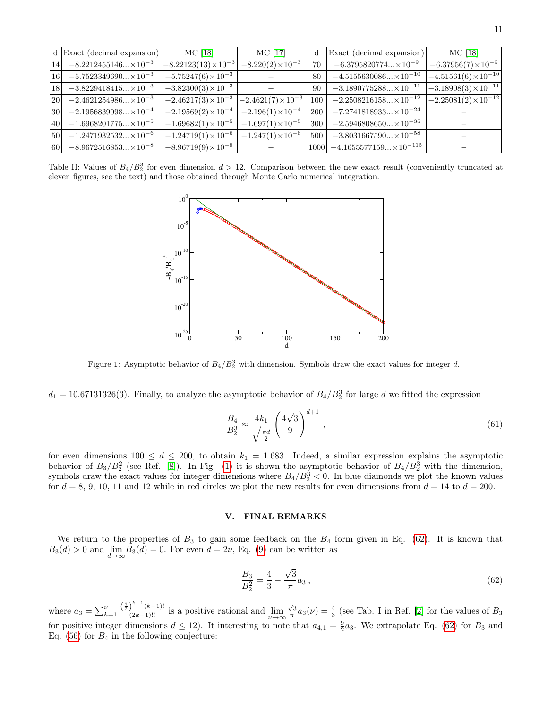|    | $d$ Exact (decimal expansion)  | MC [18]                     | MC [17]                                | $\mathbf d$ | Exact (decimal expansion)        | $MC$ [18]                                |
|----|--------------------------------|-----------------------------|----------------------------------------|-------------|----------------------------------|------------------------------------------|
| 14 | $-8.2212455146 \times 10^{-3}$ | $-8.22123(13)\times10^{-3}$ | $-8.220(2)\times10^{-3}$               | 70          | $-6.3795820774 \times 10^{-9}$   | $-6.37956(7)\times10^{-9}$               |
| 16 | $-5.7523349690 \times 10^{-3}$ | $-5.75247(6)\times10^{-3}$  |                                        | 80          | $-4.5155630086 \times 10^{-10}$  | $-4.51561(6)\times10^{-10}$              |
| 18 | $-3.8229418415 \times 10^{-3}$ | $-3.82300(3)\times10^{-3}$  |                                        | 90          | $-3.1890775288 \times 10^{-11}$  | $-3.18908(3)\times10^{-11}$              |
| 20 | $-2.4621254986 \times 10^{-3}$ | $-2.46217(3)\times10^{-3}$  | $\left[-2.4621(7)\times10^{-3}\right]$ | 100         | $-2.2508216158 \times 10^{-12}$  | $\left[-2.25081(2)\times10^{-12}\right]$ |
| 30 | $-2.1956839098 \times 10^{-4}$ | $-2.19569(2)\times10^{-4}$  | $-2.196(1)\times10^{-4}$               | 200         | $-7.2741818933 \times 10^{-24}$  |                                          |
| 40 | $-1.6968201775 \times 10^{-5}$ | $-1.69682(1)\times10^{-5}$  | $-1.697(1)\times10^{-5}$               | 300         | $-2.5946808650 \times 10^{-35}$  |                                          |
| 50 | $-1.2471932532 \times 10^{-6}$ | $-1.24719(1)\times10^{-6}$  | $-1.247(1)\times10^{-6}$               | 500         | $-3.8031667590 \times 10^{-58}$  |                                          |
| 60 | $-8.9672516853 \times 10^{-8}$ | $-8.96719(9)\times10^{-8}$  |                                        | 1000        | $-4.1655577159 \times 10^{-115}$ |                                          |

<span id="page-10-1"></span>Table II: Values of  $B_4/B_2^3$  for even dimension  $d > 12$ . Comparison between the new exact result (conveniently truncated at eleven figures, see the text) and those obtained through Monte Carlo numerical integration.



<span id="page-10-2"></span>Figure 1: Asymptotic behavior of  $B_4/B_2^3$  with dimension. Symbols draw the exact values for integer d.

 $d_1 = 10.67131326(3)$ . Finally, to analyze the asymptotic behavior of  $B_4/B_2^3$  for large d we fitted the expression

$$
\frac{B_4}{B_2^3} \approx \frac{4k_1}{\sqrt{\frac{\pi d}{2}}} \left(\frac{4\sqrt{3}}{9}\right)^{d+1},\tag{61}
$$

for even dimensions  $100 \le d \le 200$ , to obtain  $k_1 = 1.683$ . Indeed, a similar expression explains the asymptotic behavior of  $B_3/B_2^2$  (see Ref. [\[8\]](#page-14-6)). In Fig. [\(1\)](#page-10-2) it is shown the asymptotic behavior of  $B_4/B_2^3$  with the dimension, symbols draw the exact values for integer dimensions where  $B_4/B_2^3 < 0$ . In blue diamonds we plot the known values for  $d = 8, 9, 10, 11$  and 12 while in red circles we plot the new results for even dimensions from  $d = 14$  to  $d = 200$ .

# <span id="page-10-0"></span>V. FINAL REMARKS

We return to the properties of  $B_3$  to gain some feedback on the  $B_4$  form given in Eq. [\(62\)](#page-10-3). It is known that  $B_3(d) > 0$  and  $\lim_{d \to \infty} B_3(d) = 0$ . For even  $d = 2\nu$ , Eq. [\(9\)](#page-1-4) can be written as

<span id="page-10-3"></span>
$$
\frac{B_3}{B_2^2} = \frac{4}{3} - \frac{\sqrt{3}}{\pi} a_3 ,\qquad (62)
$$

where  $a_3 = \sum_{k=1}^{\nu} \frac{\left(\frac{3}{2}\right)^{k-1}(k-1)!}{(2k-1)!!}$  is a positive rational and  $\lim_{\nu \to \infty} \frac{\sqrt{3}}{\pi} a_3(\nu) = \frac{4}{3}$  (see Tab. I in Ref. [\[2\]](#page-14-1) for the values of  $B_3$ for positive integer dimensions  $d \leq 12$ ). It interesting to note that  $a_{4,1} = \frac{9}{2}a_3$ . We extrapolate Eq. [\(62\)](#page-10-3) for  $B_3$  and Eq.  $(56)$  for  $B_4$  in the following conjecture: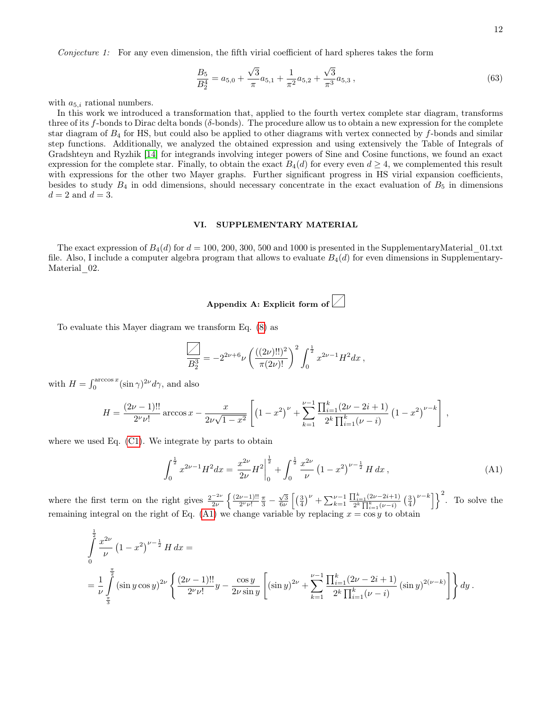Conjecture 1: For any even dimension, the fifth virial coefficient of hard spheres takes the form

$$
\frac{B_5}{B_2^4} = a_{5,0} + \frac{\sqrt{3}}{\pi}a_{5,1} + \frac{1}{\pi^2}a_{5,2} + \frac{\sqrt{3}}{\pi^3}a_{5,3},\tag{63}
$$

with  $a_{5,i}$  rational numbers.

In this work we introduced a transformation that, applied to the fourth vertex complete star diagram, transforms three of its f-bonds to Dirac delta bonds ( $\delta$ -bonds). The procedure allow us to obtain a new expression for the complete star diagram of  $B_4$  for HS, but could also be applied to other diagrams with vertex connected by  $f$ -bonds and similar step functions. Additionally, we analyzed the obtained expression and using extensively the Table of Integrals of Gradshteyn and Ryzhik [\[14\]](#page-14-12) for integrands involving integer powers of Sine and Cosine functions, we found an exact expression for the complete star. Finally, to obtain the exact  $B_4(d)$  for every even  $d \geq 4$ , we complemented this result with expressions for the other two Mayer graphs. Further significant progress in HS virial expansion coefficients, besides to study  $B_4$  in odd dimensions, should necessary concentrate in the exact evaluation of  $B_5$  in dimensions  $d=2$  and  $d=3$ .

#### <span id="page-11-1"></span>VI. SUPPLEMENTARY MATERIAL

The exact expression of  $B_4(d)$  for  $d = 100, 200, 300, 500$  and 1000 is presented in the SupplementaryMaterial 01.txt file. Also, I include a computer algebra program that allows to evaluate  $B_4(d)$  for even dimensions in Supplementary-Material 02.

# <span id="page-11-0"></span>Appendix A: Explicit form of  $\angle$

To evaluate this Mayer diagram we transform Eq. [\(8\)](#page-1-0) as

$$
\overline{\underline{B_2^3}} = -2^{2\nu+6}\nu \left( \frac{((2\nu)!!)^2}{\pi(2\nu)!} \right)^2 \int_0^{\frac{1}{2}} x^{2\nu-1} H^2 dx ,
$$

with  $H = \int_0^{\arccos x} (\sin \gamma)^{2\nu} d\gamma$ , and also

$$
H = \frac{(2\nu - 1)!!}{2^{\nu} \nu!} \arccos x - \frac{x}{2\nu\sqrt{1 - x^2}} \left[ \left( 1 - x^2 \right)^{\nu} + \sum_{k=1}^{\nu - 1} \frac{\prod_{i=1}^{k} (2\nu - 2i + 1)}{2^k \prod_{i=1}^{k} (\nu - i)} \left( 1 - x^2 \right)^{\nu - k} \right],
$$

where we used Eq. [\(C1\)](#page-13-1). We integrate by parts to obtain

<span id="page-11-2"></span>
$$
\int_0^{\frac{1}{2}} x^{2\nu - 1} H^2 dx = \left. \frac{x^{2\nu}}{2\nu} H^2 \right|_0^{\frac{1}{2}} + \int_0^{\frac{1}{2}} \frac{x^{2\nu}}{\nu} \left( 1 - x^2 \right)^{\nu - \frac{1}{2}} H dx , \tag{A1}
$$

where the first term on the right gives  $\frac{2^{-2\nu}}{2\nu}$  $rac{-2\nu}{2\nu}$   $\left\{ \frac{(2\nu-1)!!}{2^{\nu}\nu!} \right\}$  $\frac{\nu-1)!!}{2^{\nu}\nu!}\frac{\pi}{3} - \frac{\sqrt{3}}{6\nu} \left[ \left(\frac{3}{4}\right)^{\nu} + \sum_{k=1}^{\nu-1} \right]$  $\frac{\prod_{i=1}^{k} (2\nu-2i+1)}{2^k \prod_{i=1}^{k} (\nu-i)} \left(\frac{3}{4}\right)^{\nu-k}$  To solve the remaining integral on the right of Eq. [\(A1\)](#page-11-2) we change variable by replacing  $x = \cos y$  to obtain

$$
\int_{0}^{\frac{1}{2}} \frac{x^{2\nu}}{\nu} (1 - x^2)^{\nu - \frac{1}{2}} H dx =
$$
\n
$$
= \frac{1}{\nu} \int_{\frac{\pi}{3}}^{\frac{\pi}{2}} (\sin y \cos y)^{2\nu} \left\{ \frac{(2\nu - 1)!!}{2\nu \nu!} y - \frac{\cos y}{2\nu \sin y} \left[ (\sin y)^{2\nu} + \sum_{k=1}^{\nu - 1} \frac{\prod_{i=1}^{k} (2\nu - 2i + 1)}{2^k \prod_{i=1}^{k} (\nu - i)} (\sin y)^{2(\nu - k)} \right] \right\} dy.
$$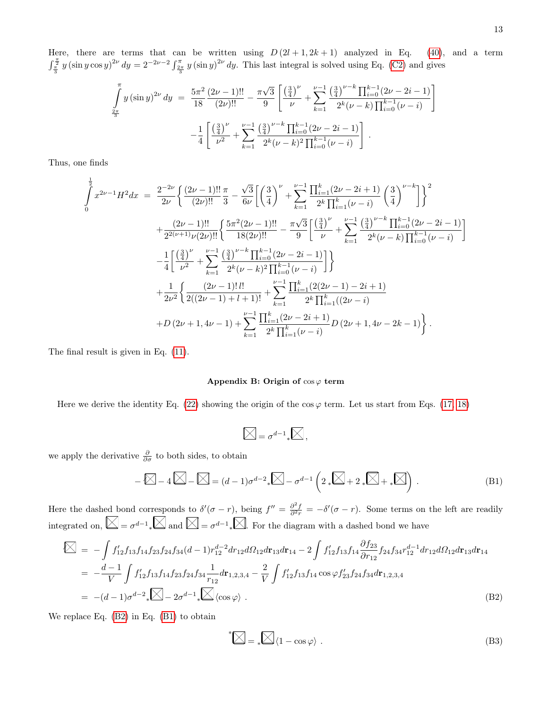Here, there are terms that can be written using  $D(2l+1, 2k+1)$  analyzed in Eq. [\(40\)](#page-5-2), and a term  $\int_{\frac{\pi}{3}}^{\frac{\pi}{2}} y(\sin y \cos y)^{2\nu} dy = 2^{-2\nu-2} \int_{\frac{2\pi}{3}}^{\frac{\pi}{3}} y(\sin y)^{2\nu} dy$ . This last integral is solved using Eq. [\(C2\)](#page-13-2) and gives

$$
\int_{\frac{2\pi}{3}}^{\pi} y \left(\sin y\right)^{2\nu} dy = \frac{5\pi^2}{18} \frac{(2\nu - 1)!!}{(2\nu)!!} - \frac{\pi\sqrt{3}}{9} \left[ \frac{\left(\frac{3}{4}\right)^{\nu}}{\nu} + \sum_{k=1}^{\nu-1} \frac{\left(\frac{3}{4}\right)^{\nu-k} \prod_{i=0}^{k-1} (2\nu - 2i - 1)}{2^k (\nu - k) \prod_{i=0}^{k-1} (\nu - i)} \right] - \frac{1}{4} \left[ \frac{\left(\frac{3}{4}\right)^{\nu}}{\nu^2} + \sum_{k=1}^{\nu-1} \frac{\left(\frac{3}{4}\right)^{\nu-k} \prod_{i=0}^{k-1} (2\nu - 2i - 1)}{2^k (\nu - k)^2 \prod_{i=0}^{k-1} (\nu - i)} \right].
$$

Thus, one finds

$$
\int_{0}^{\frac{1}{2}} x^{2\nu-1} H^{2} dx = \frac{2^{-2\nu}}{2\nu} \left\{ \frac{(2\nu-1)!!}{(2\nu)!!} \frac{\pi}{3} - \frac{\sqrt{3}}{6\nu} \left[ \left( \frac{3}{4} \right)^{\nu} + \sum_{k=1}^{\nu-1} \frac{\prod_{i=1}^{k} (2\nu-2i+1)}{2^{k} \prod_{i=1}^{k} (\nu-i)} \left( \frac{3}{4} \right)^{\nu-k} \right] \right\}^{2} + \frac{(2\nu-1)!!}{2^{2(\nu+1)} \nu(2\nu)!!} \left\{ \frac{5\pi^{2} (2\nu-1)!!}{18(2\nu)!!} - \frac{\pi\sqrt{3}}{9} \left[ \frac{\left( \frac{3}{4} \right)^{\nu}}{\nu} + \sum_{k=1}^{\nu-1} \frac{\left( \frac{3}{4} \right)^{\nu-k} \prod_{i=0}^{k-1} (2\nu-2i-1)}{2^{k} (\nu-k) \prod_{i=0}^{k-1} (\nu-i)} \right] \right\} - \frac{1}{4} \left[ \frac{\left( \frac{3}{4} \right)^{\nu}}{\nu^{2}} + \sum_{k=1}^{\nu-1} \frac{\left( \frac{3}{4} \right)^{\nu-k} \prod_{i=0}^{k-1} (2\nu-2i-1)}{2^{k} (\nu-k)^{2} \prod_{i=0}^{k-1} (\nu-i)} \right] \right\} + \frac{1}{2\nu^{2}} \left\{ \frac{(2\nu-1)!\,l!}{2((2\nu-1)+l+1)!} + \sum_{k=1}^{\nu-1} \frac{\prod_{i=1}^{k} (2(2\nu-1)-2i+1)}{2^{k} \prod_{i=1}^{k} ((2\nu-i)} \right. + D (2\nu+1,4\nu-1) + \sum_{k=1}^{\nu-1} \frac{\prod_{i=1}^{k} (2\nu-2i+1)}{2^{k} \prod_{i=1}^{k} (\nu-i)} D (2\nu+1,4\nu-2k-1) \right\}.
$$

The final result is given in Eq. [\(11\)](#page-1-1).

### <span id="page-12-0"></span>Appendix B: Origin of  $\cos \varphi$  term

Here we derive the identity Eq. [\(22\)](#page-3-2) showing the origin of the  $\cos \varphi$  term. Let us start from Eqs. [\(17, 18\)](#page-2-4)

$$
\boxed{\diagtimes} = \sigma^{d-1} \Box \boxed{\diagtimes},
$$

we apply the derivative  $\frac{\partial}{\partial \sigma}$  to both sides, to obtain

<span id="page-12-2"></span>
$$
-\boxtimes -4\boxtimes -\boxtimes = (d-1)\sigma^{d-2} \cdot \boxtimes -\sigma^{d-1} \left(2 \cdot \boxtimes + 2 \cdot \boxtimes + \cdot \boxtimes \right). \tag{B1}
$$

Here the dashed bond corresponds to  $\delta'(\sigma - r)$ , being  $f'' = \frac{\partial^2 f}{\partial^2 r} = -\delta'(\sigma - r)$ . Some terms on the left are readily integrated on,  $\Box = \sigma^{d-1}$ ,  $\Box$  and  $\Box = \sigma^{d-1}$ ,  $\Box$  For the diagram with a dashed bond we have

<span id="page-12-1"></span>
$$
\begin{split}\n\mathbb{K} &= -\int f'_{12} f_{13} f_{14} f_{23} f_{24} f_{34} (d-1) r_{12}^{d-2} dr_{12} d\Omega_{12} dr_{13} dr_{14} - 2 \int f'_{12} f_{13} f_{14} \frac{\partial f_{23}}{\partial r_{12}} f_{24} f_{34} r_{12}^{d-1} dr_{12} d\Omega_{12} dr_{13} dr_{14} \\
&= -\frac{d-1}{V} \int f'_{12} f_{13} f_{14} f_{23} f_{24} f_{34} \frac{1}{r_{12}} dr_{1,2,3,4} - \frac{2}{V} \int f'_{12} f_{13} f_{14} \cos \varphi f'_{23} f_{24} f_{34} dr_{1,2,3,4} \\
&= -(d-1)\sigma^{d-2} \sqrt{\sum_{i=1}^{d-1} \sum_{j=1}^{d-1} \langle \cos \varphi \rangle .\n\end{split} \tag{B2}
$$

We replace Eq. [\(B2\)](#page-12-1) in Eq. [\(B1\)](#page-12-2) to obtain

$$
^*\sum \, = \, \ast \sum \, \langle 1 - \cos \varphi \rangle \; . \tag{B3}
$$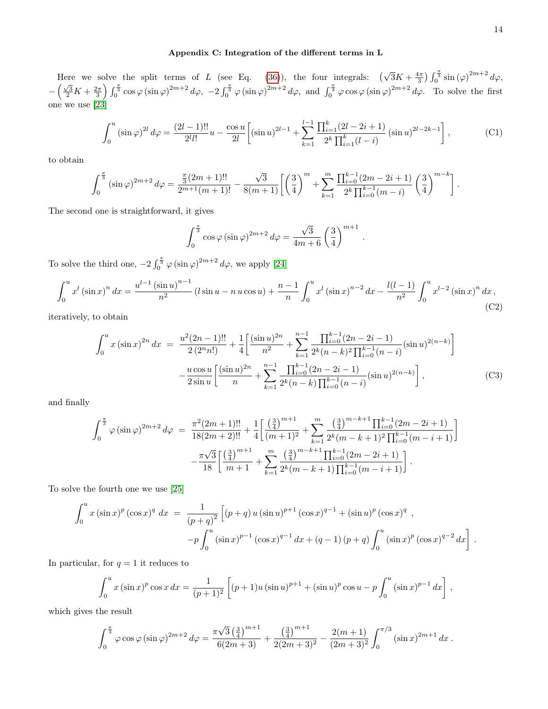## <span id="page-13-0"></span>Appendix C: Integration of the different terms in L

Here we solve the split terms of L (see Eq. [\(36\)](#page-5-3)), the four integrals:  $(\sqrt{3}K + \frac{4\pi}{3}) \int_0^{\frac{\pi}{3}} \sin(\varphi)^{2m+2} d\varphi$ ,  $-\left(\frac{\sqrt{3}}{2}K+\frac{2\pi}{3}\right)\int_0^{\frac{\pi}{3}} \cos\varphi\left(\sin\varphi\right)^{2m+2} d\varphi$ ,  $-2\int_0^{\frac{\pi}{3}} \varphi\left(\sin\varphi\right)^{2m+2} d\varphi$ , and  $\int_0^{\frac{\pi}{3}} \varphi\cos\varphi\left(\sin\varphi\right)^{2m+2} d\varphi$ . To solve the first one we use [\[23\]](#page-14-21)

<span id="page-13-1"></span>
$$
\int_0^u (\sin \varphi)^{2l} d\varphi = \frac{(2l-1)!!}{2^l l!} u - \frac{\cos u}{2l} \left[ (\sin u)^{2l-1} + \sum_{k=1}^{l-1} \frac{\prod_{i=1}^k (2l-2i+1)}{2^k \prod_{i=1}^k (l-i)} (\sin u)^{2l-2k-1} \right],
$$
(C1)

to obtain

$$
\int_0^{\frac{\pi}{3}} (\sin \varphi)^{2m+2} d\varphi = \frac{\frac{\pi}{3} (2m+1)!!}{2^{m+1} (m+1)!} - \frac{\sqrt{3}}{8(m+1)} \left[ \left( \frac{3}{4} \right)^m + \sum_{k=1}^m \frac{\prod_{i=0}^{k-1} (2m-2i+1)}{2^k \prod_{i=0}^{k-1} (m-i)} \left( \frac{3}{4} \right)^{m-k} \right]
$$

The second one is straightforward, it gives

$$
\int_0^{\frac{\pi}{3}} \cos \varphi (\sin \varphi)^{2m+2} d\varphi = \frac{\sqrt{3}}{4m+6} \left(\frac{3}{4}\right)^{m+1}.
$$

To solve the third one,  $-2\int_0^{\frac{\pi}{3}} \varphi(\sin \varphi)^{2m+2} d\varphi$ , we apply [\[24\]](#page-14-22)

<span id="page-13-2"></span>
$$
\int_0^u x^l \left(\sin x\right)^n dx = \frac{u^{l-1} \left(\sin u\right)^{n-1}}{n^2} \left(l \sin u - n u \cos u\right) + \frac{n-1}{n} \int_0^u x^l \left(\sin x\right)^{n-2} dx - \frac{l(l-1)}{n^2} \int_0^u x^{l-2} \left(\sin x\right)^n dx,
$$
\n(C2)

iteratively, to obtain

$$
\int_{0}^{u} x (\sin x)^{2n} dx = \frac{u^{2}(2n-1)!!}{2(2^{n}n!)} + \frac{1}{4} \left[ \frac{(\sin u)^{2n}}{n^{2}} + \sum_{k=1}^{n-1} \frac{\prod_{i=0}^{k-1} (2n-2i-1)}{2^{k}(n-k)^{2} \prod_{i=0}^{k-1} (n-i)} (\sin u)^{2(n-k)} \right] - \frac{u \cos u}{2 \sin u} \left[ \frac{(\sin u)^{2n}}{n} + \sum_{k=1}^{n-1} \frac{\prod_{i=0}^{k-1} (2n-2i-1)}{2^{k}(n-k) \prod_{i=0}^{k-1} (n-i)} (\sin u)^{2(n-k)} \right],
$$
(C3)

and finally

$$
\int_0^{\frac{\pi}{3}} \varphi(\sin \varphi)^{2m+2} d\varphi = \frac{\pi^2 (2m+1)!!}{18(2m+2)!!} + \frac{1}{4} \left[ \frac{\left(\frac{3}{4}\right)^{m+1}}{(m+1)^2} + \sum_{k=1}^m \frac{\left(\frac{3}{4}\right)^{m-k+1} \prod_{i=0}^{k-1} (2m-2i+1)}{2^k (m-k+1)^2 \prod_{i=0}^{k-1} (m-i+1)} \right] - \frac{\pi \sqrt{3}}{18} \left[ \frac{\left(\frac{3}{4}\right)^{m+1}}{m+1} + \sum_{k=1}^m \frac{\left(\frac{3}{4}\right)^{m-k+1} \prod_{i=0}^{k-1} (2m-2i+1)}{2^k (m-k+1) \prod_{i=0}^{k-1} (m-i+1)} \right].
$$

To solve the fourth one we use [\[25\]](#page-14-23)

$$
\int_0^u x (\sin x)^p (\cos x)^q dx = \frac{1}{(p+q)^2} \left[ (p+q) u (\sin u)^{p+1} (\cos x)^{q-1} + (\sin u)^p (\cos x)^q \right],
$$
  

$$
-p \int_0^u (\sin x)^{p-1} (\cos x)^{q-1} dx + (q-1) (p+q) \int_0^u (\sin x)^p (\cos x)^{q-2} dx \right].
$$

In particular, for  $q = 1$  it reduces to

$$
\int_0^u x (\sin x)^p \cos x \, dx = \frac{1}{(p+1)^2} \left[ (p+1)u (\sin u)^{p+1} + (\sin u)^p \cos u - p \int_0^u (\sin x)^{p-1} \, dx \right],
$$

which gives the result

$$
\int_0^{\frac{\pi}{3}} \varphi \cos \varphi \left(\sin \varphi\right)^{2m+2} d\varphi = \frac{\pi \sqrt{3} \left(\frac{3}{4}\right)^{m+1}}{6(2m+3)} + \frac{\left(\frac{3}{4}\right)^{m+1}}{2(2m+3)^2} - \frac{2(m+1)}{(2m+3)^2} \int_0^{\pi/3} (\sin x)^{2m+1} dx.
$$

.